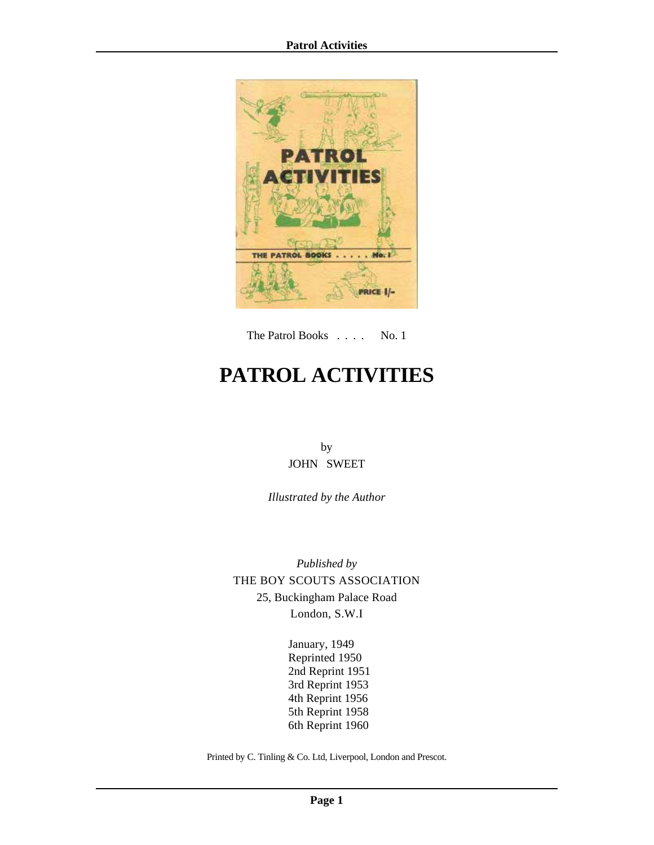

The Patrol Books . . . . No. 1

# **PATROL ACTIVITIES**

by JOHN SWEET

*Illustrated by the Author*

*Published by* THE BOY SCOUTS ASSOCIATION 25, Buckingham Palace Road London, S.W.I

> January, 1949 Reprinted 1950 2nd Reprint 1951 3rd Reprint 1953 4th Reprint 1956 5th Reprint 1958 6th Reprint 1960

Printed by C. Tinling & Co. Ltd, Liverpool, London and Prescot.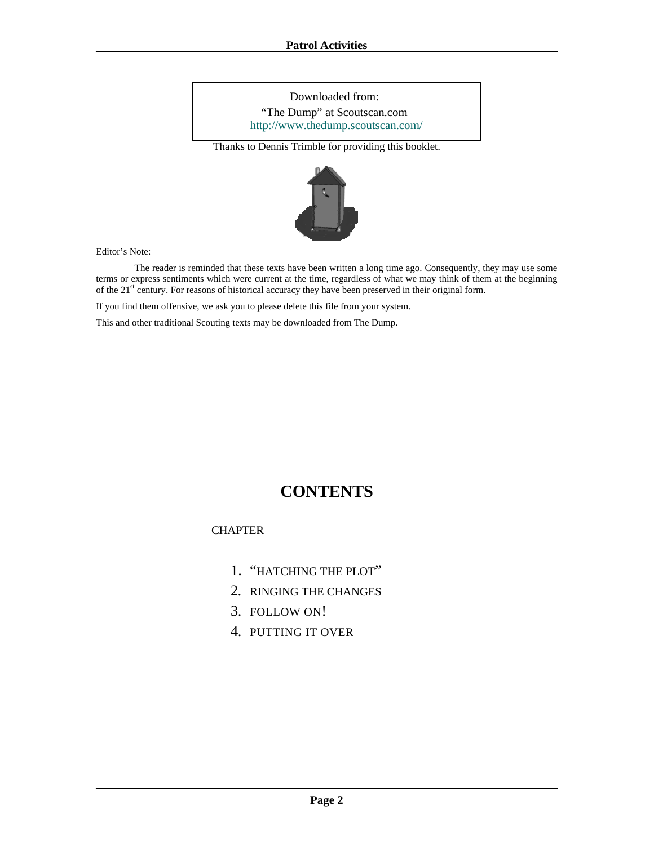Downloaded from: "The Dump" at Scoutscan.com http://www.thedump.scoutscan.com/

Thanks to Dennis Trimble for providing this booklet.



Editor's Note:

 The reader is reminded that these texts have been written a long time ago. Consequently, they may use some terms or express sentiments which were current at the time, regardless of what we may think of them at the beginning of the 21<sup>st</sup> century. For reasons of historical accuracy they have been preserved in their original form.

If you find them offensive, we ask you to please delete this file from your system.

This and other traditional Scouting texts may be downloaded from The Dump.

# **CONTENTS**

**CHAPTER** 

- 1. ["HATCHING THE PLOT"](#page-2-0)
- 2. [RINGING THE CHANGES](#page-4-0)
- 3. [FOLLOW ON!](#page-9-0)
- 4. [PUTTING IT OVER](#page-13-0)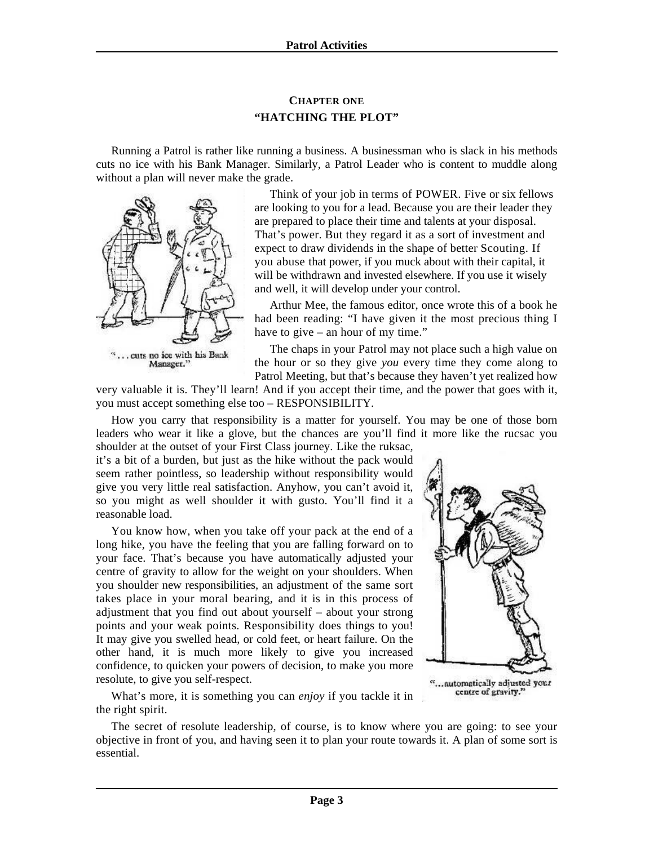# **CHAPTER ONE "HATCHING THE PLOT"**

<span id="page-2-0"></span>Running a Patrol is rather like running a business. A businessman who is slack in his methods cuts no ice with his Bank Manager. Similarly, a Patrol Leader who is content to muddle along without a plan will never make the grade.



Think of your job in terms of POWER. Five or six fellows are looking to you for a lead. Because you are their leader they are prepared to place their time and talents at your disposal. That's power. But they regard it as a sort of investment and expect to draw dividends in the shape of better Scouting. If you abuse that power, if you muck about with their capital, it will be withdrawn and invested elsewhere. If you use it wisely and well, it will develop under your control.

Arthur Mee, the famous editor, once wrote this of a book he had been reading: "I have given it the most precious thing I have to give – an hour of my time."

The chaps in your Patrol may not place such a high value on the hour or so they give *you* every time they come along to Patrol Meeting, but that's because they haven't yet realized how

very valuable it is. They'll learn! And if you accept their time, and the power that goes with it, you must accept something else too – RESPONSIBILITY.

How you carry that responsibility is a matter for yourself. You may be one of those born leaders who wear it like a glove, but the chances are you'll find it more like the rucsac you shoulder at the outset of your First Class journey. Like the ruksac,

it's a bit of a burden, but just as the hike without the pack would seem rather pointless, so leadership without responsibility would give you very little real satisfaction. Anyhow, you can't avoid it, so you might as well shoulder it with gusto. You'll find it a reasonable load.

You know how, when you take off your pack at the end of a long hike, you have the feeling that you are falling forward on to your face. That's because you have automatically adjusted your centre of gravity to allow for the weight on your shoulders. When you shoulder new responsibilities, an adjustment of the same sort takes place in your moral bearing, and it is in this process of adjustment that you find out about yourself – about your strong points and your weak points. Responsibility does things to you! It may give you swelled head, or cold feet, or heart failure. On the other hand, it is much more likely to give you increased confidence, to quicken your powers of decision, to make you more resolute, to give you self-respect.



"...automatically adjusted your centre of gravity."

What's more, it is something you can *enjoy* if you tackle it in the right spirit.

The secret of resolute leadership, of course, is to know where you are going: to see your objective in front of you, and having seen it to plan your route towards it. A plan of some sort is essential.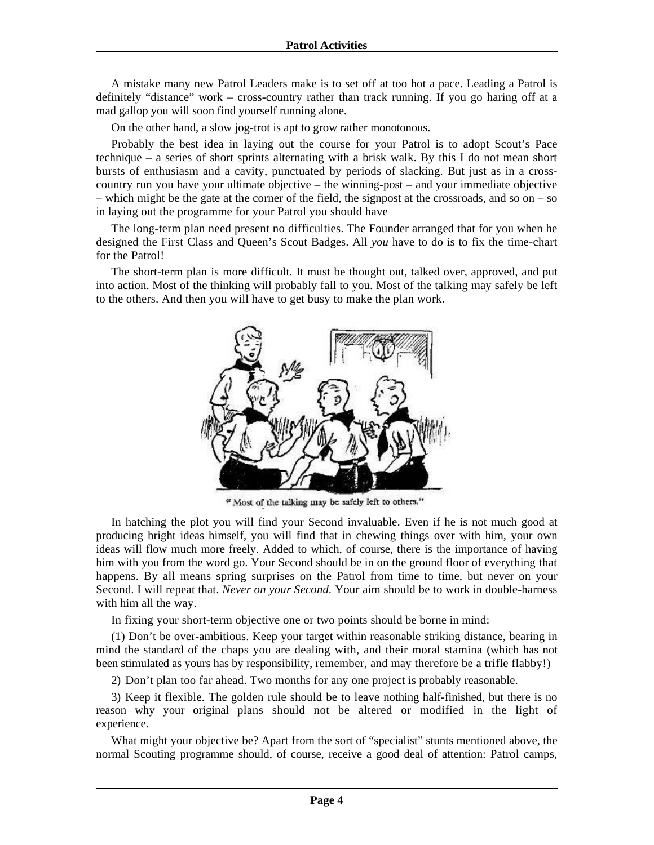A mistake many new Patrol Leaders make is to set off at too hot a pace. Leading a Patrol is definitely "distance" work – cross-country rather than track running. If you go haring off at a mad gallop you will soon find yourself running alone.

On the other hand, a slow jog-trot is apt to grow rather monotonous.

Probably the best idea in laying out the course for your Patrol is to adopt Scout's Pace technique – a series of short sprints alternating with a brisk walk. By this I do not mean short bursts of enthusiasm and a cavity, punctuated by periods of slacking. But just as in a crosscountry run you have your ultimate objective – the winning-post – and your immediate objective – which might be the gate at the corner of the field, the signpost at the crossroads, and so on – so in laying out the programme for your Patrol you should have

The long-term plan need present no difficulties. The Founder arranged that for you when he designed the First Class and Queen's Scout Badges. All *you* have to do is to fix the time-chart for the Patrol!

The short-term plan is more difficult. It must be thought out, talked over, approved, and put into action. Most of the thinking will probably fall to you. Most of the talking may safely be left to the others. And then you will have to get busy to make the plan work.



" Most of the talking may be safely left to others."

In hatching the plot you will find your Second invaluable. Even if he is not much good at producing bright ideas himself, you will find that in chewing things over with him, your own ideas will flow much more freely. Added to which, of course, there is the importance of having him with you from the word go. Your Second should be in on the ground floor of everything that happens. By all means spring surprises on the Patrol from time to time, but never on your Second. I will repeat that. *Never on your Second.* Your aim should be to work in double-harness with him all the way.

In fixing your short-term objective one or two points should be borne in mind:

(1) Don't be over-ambitious. Keep your target within reasonable striking distance, bearing in mind the standard of the chaps you are dealing with, and their moral stamina (which has not been stimulated as yours has by responsibility, remember, and may therefore be a trifle flabby!)

2) Don't plan too far ahead. Two months for any one project is probably reasonable.

3) Keep it flexible. The golden rule should be to leave nothing half-finished, but there is no reason why your original plans should not be altered or modified in the light of experience.

What might your objective be? Apart from the sort of "specialist" stunts mentioned above, the normal Scouting programme should, of course, receive a good deal of attention: Patrol camps,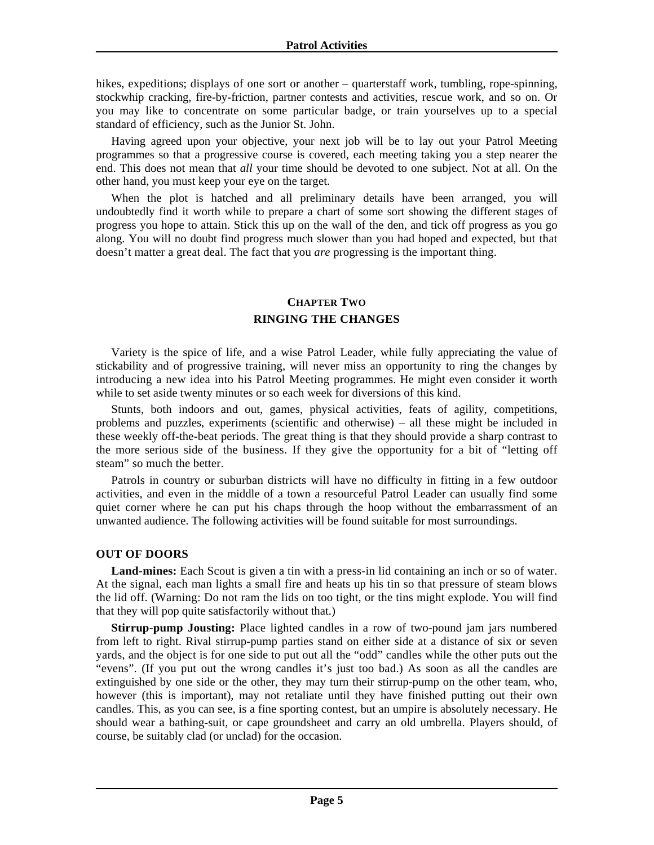<span id="page-4-0"></span>hikes, expeditions; displays of one sort or another – quarterstaff work, tumbling, rope-spinning, stockwhip cracking, fire-by-friction, partner contests and activities, rescue work, and so on. Or you may like to concentrate on some particular badge, or train yourselves up to a special standard of efficiency, such as the Junior St. John.

Having agreed upon your objective, your next job will be to lay out your Patrol Meeting programmes so that a progressive course is covered, each meeting taking you a step nearer the end. This does not mean that *all* your time should be devoted to one subject. Not at all. On the other hand, you must keep your eye on the target.

When the plot is hatched and all preliminary details have been arranged, you will undoubtedly find it worth while to prepare a chart of some sort showing the different stages of progress you hope to attain. Stick this up on the wall of the den, and tick off progress as you go along. You will no doubt find progress much slower than you had hoped and expected, but that doesn't matter a great deal. The fact that you *are* progressing is the important thing.

## **CHAPTER TWO RINGING THE CHANGES**

Variety is the spice of life, and a wise Patrol Leader, while fully appreciating the value of stickability and of progressive training, will never miss an opportunity to ring the changes by introducing a new idea into his Patrol Meeting programmes. He might even consider it worth while to set aside twenty minutes or so each week for diversions of this kind.

Stunts, both indoors and out, games, physical activities, feats of agility, competitions, problems and puzzles, experiments (scientific and otherwise) – all these might be included in these weekly off-the-beat periods. The great thing is that they should provide a sharp contrast to the more serious side of the business. If they give the opportunity for a bit of "letting off steam" so much the better.

Patrols in country or suburban districts will have no difficulty in fitting in a few outdoor activities, and even in the middle of a town a resourceful Patrol Leader can usually find some quiet corner where he can put his chaps through the hoop without the embarrassment of an unwanted audience. The following activities will be found suitable for most surroundings.

#### **OUT OF DOORS**

**Land-mines:** Each Scout is given a tin with a press-in lid containing an inch or so of water. At the signal, each man lights a small fire and heats up his tin so that pressure of steam blows the lid off. (Warning: Do not ram the lids on too tight, or the tins might explode. You will find that they will pop quite satisfactorily without that.)

**Stirrup-pump Jousting:** Place lighted candles in a row of two-pound jam jars numbered from left to right. Rival stirrup-pump parties stand on either side at a distance of six or seven yards, and the object is for one side to put out all the "odd" candles while the other puts out the "evens". (If you put out the wrong candles it's just too bad.) As soon as all the candles are extinguished by one side or the other, they may turn their stirrup-pump on the other team, who, however (this is important), may not retaliate until they have finished putting out their own candles. This, as you can see, is a fine sporting contest, but an umpire is absolutely necessary. He should wear a bathing-suit, or cape groundsheet and carry an old umbrella. Players should, of course, be suitably clad (or unclad) for the occasion.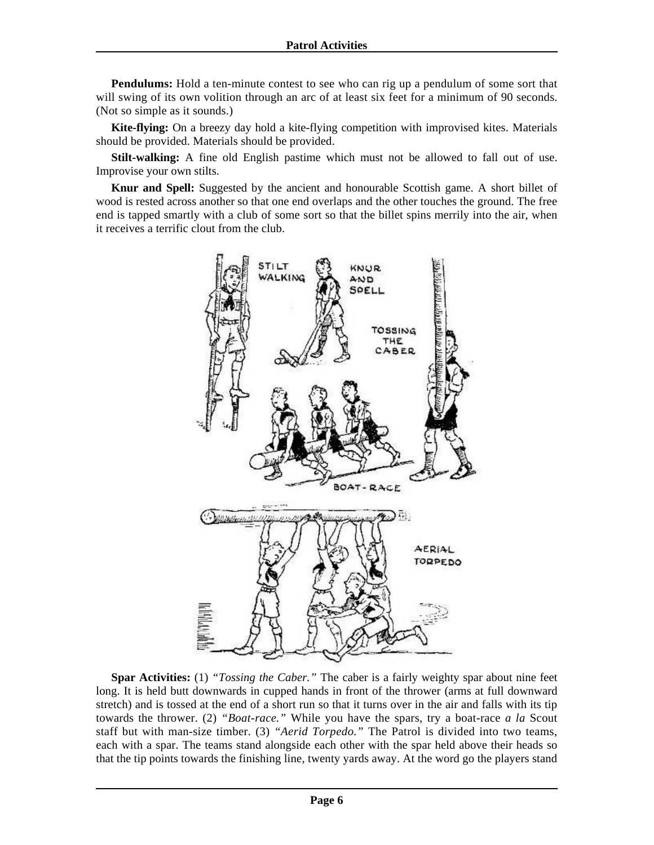**Pendulums:** Hold a ten-minute contest to see who can rig up a pendulum of some sort that will swing of its own volition through an arc of at least six feet for a minimum of 90 seconds. (Not so simple as it sounds.)

**Kite-flying:** On a breezy day hold a kite-flying competition with improvised kites. Materials should be provided. Materials should be provided.

**Stilt-walking:** A fine old English pastime which must not be allowed to fall out of use. Improvise your own stilts.

**Knur and Spell:** Suggested by the ancient and honourable Scottish game. A short billet of wood is rested across another so that one end overlaps and the other touches the ground. The free end is tapped smartly with a club of some sort so that the billet spins merrily into the air, when it receives a terrific clout from the club.



**Spar Activities:** (1) *"Tossing the Caber."* The caber is a fairly weighty spar about nine feet long. It is held butt downwards in cupped hands in front of the thrower (arms at full downward stretch) and is tossed at the end of a short run so that it turns over in the air and falls with its tip towards the thrower. (2) *"Boat-race."* While you have the spars, try a boat-race *a la* Scout staff but with man-size timber. (3) *"Aerid Torpedo."* The Patrol is divided into two teams, each with a spar. The teams stand alongside each other with the spar held above their heads so that the tip points towards the finishing line, twenty yards away. At the word go the players stand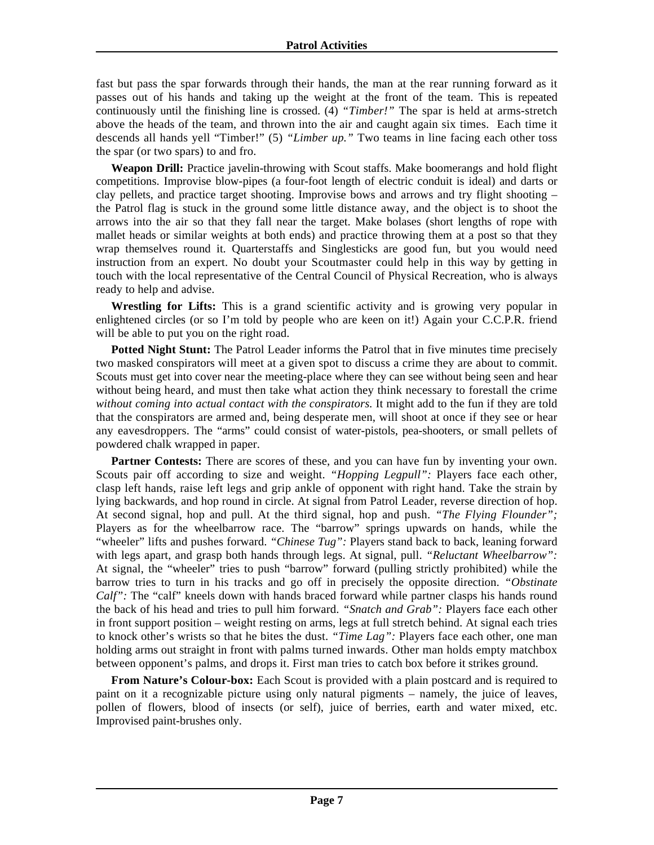fast but pass the spar forwards through their hands, the man at the rear running forward as it passes out of his hands and taking up the weight at the front of the team. This is repeated continuously until the finishing line is crossed. (4) *"Timber!"* The spar is held at arms-stretch above the heads of the team, and thrown into the air and caught again six times. Each time it descends all hands yell "Timber!" (5) *"Limber up."* Two teams in line facing each other toss the spar (or two spars) to and fro.

**Weapon Drill:** Practice javelin-throwing with Scout staffs. Make boomerangs and hold flight competitions. Improvise blow-pipes (a four-foot length of electric conduit is ideal) and darts or clay pellets, and practice target shooting. Improvise bows and arrows and try flight shooting – the Patrol flag is stuck in the ground some little distance away, and the object is to shoot the arrows into the air so that they fall near the target. Make bolases (short lengths of rope with mallet heads or similar weights at both ends) and practice throwing them at a post so that they wrap themselves round it. Quarterstaffs and Singlesticks are good fun, but you would need instruction from an expert. No doubt your Scoutmaster could help in this way by getting in touch with the local representative of the Central Council of Physical Recreation, who is always ready to help and advise.

**Wrestling for Lifts:** This is a grand scientific activity and is growing very popular in enlightened circles (or so I'm told by people who are keen on it!) Again your C.C.P.R. friend will be able to put you on the right road.

**Potted Night Stunt:** The Patrol Leader informs the Patrol that in five minutes time precisely two masked conspirators will meet at a given spot to discuss a crime they are about to commit. Scouts must get into cover near the meeting-place where they can see without being seen and hear without being heard, and must then take what action they think necessary to forestall the crime without coming into actual contact with the conspirators. It might add to the fun if they are told that the conspirators are armed and, being desperate men, will shoot at once if they see or hear any eavesdroppers. The "arms" could consist of water-pistols, pea-shooters, or small pellets of powdered chalk wrapped in paper.

**Partner Contests:** There are scores of these, and you can have fun by inventing your own. Scouts pair off according to size and weight. *"Hopping Legpull":* Players face each other, clasp left hands, raise left legs and grip ankle of opponent with right hand. Take the strain by lying backwards, and hop round in circle. At signal from Patrol Leader, reverse direction of hop. At second signal, hop and pull. At the third signal, hop and push. *"The Flying Flounder";*  Players as for the wheelbarrow race. The "barrow" springs upwards on hands, while the "wheeler" lifts and pushes forward. "Chinese Tug": Players stand back to back, leaning forward with legs apart, and grasp both hands through legs. At signal, pull. *"Reluctant Wheelbarrow":*  At signal, the "wheeler" tries to push "barrow" forward (pulling strictly prohibited) while the barrow tries to turn in his tracks and go off in precisely the opposite direction. *"Obstinate Calf*": The "calf" kneels down with hands braced forward while partner clasps his hands round the back of his head and tries to pull him forward. *"Snatch and Grab":* Players face each other in front support position – weight resting on arms, legs at full stretch behind. At signal each tries to knock other's wrists so that he bites the dust. *"Time Lag":* Players face each other, one man holding arms out straight in front with palms turned inwards. Other man holds empty matchbox between opponent's palms, and drops it. First man tries to catch box before it strikes ground.

**From Nature's Colour-box:** Each Scout is provided with a plain postcard and is required to paint on it a recognizable picture using only natural pigments – namely, the juice of leaves, pollen of flowers, blood of insects (or self), juice of berries, earth and water mixed, etc. Improvised paint-brushes only.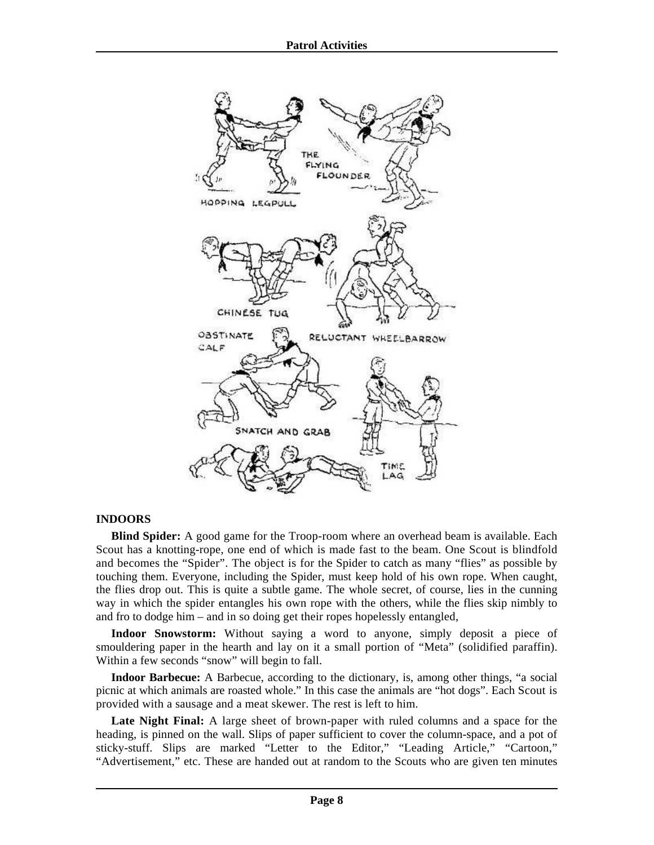

## **INDOORS**

**Blind Spider:** A good game for the Troop-room where an overhead beam is available. Each Scout has a knotting-rope, one end of which is made fast to the beam. One Scout is blindfold and becomes the "Spider". The object is for the Spider to catch as many "flies" as possible by touching them. Everyone, including the Spider, must keep hold of his own rope. When caught, the flies drop out. This is quite a subtle game. The whole secret, of course, lies in the cunning way in which the spider entangles his own rope with the others, while the flies skip nimbly to and fro to dodge him – and in so doing get their ropes hopelessly entangled,

**Indoor Snowstorm:** Without saying a word to anyone, simply deposit a piece of smouldering paper in the hearth and lay on it a small portion of "Meta" (solidified paraffin). Within a few seconds "snow" will begin to fall.

**Indoor Barbecue:** A Barbecue, according to the dictionary, is, among other things, "a social picnic at which animals are roasted whole." In this case the animals are "hot dogs". Each Scout is provided with a sausage and a meat skewer. The rest is left to him.

**Late Night Final:** A large sheet of brown-paper with ruled columns and a space for the heading, is pinned on the wall. Slips of paper sufficient to cover the column-space, and a pot of sticky-stuff. Slips are marked "Letter to the Editor," "Leading Article," "Cartoon," "Advertisement," etc. These are handed out at random to the Scouts who are given ten minutes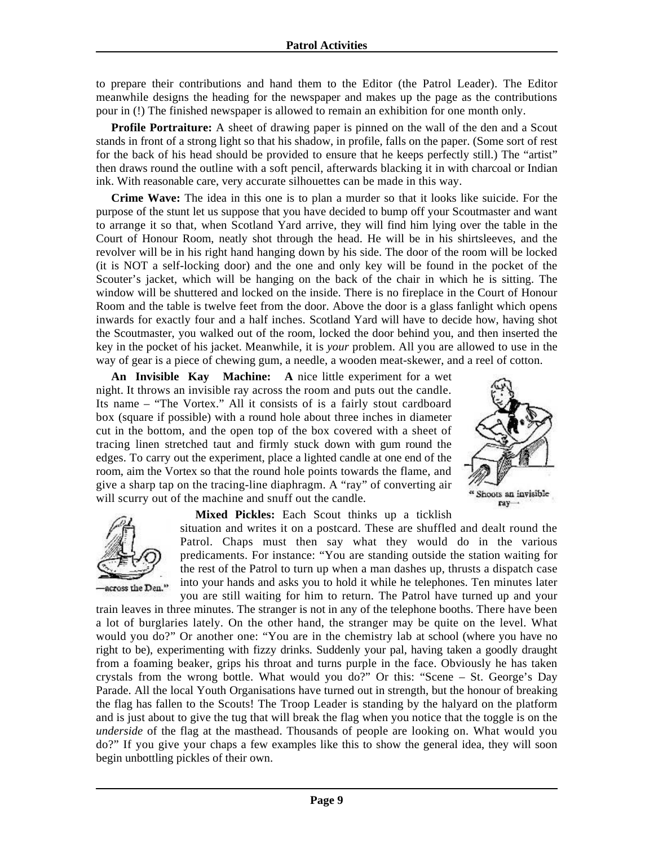to prepare their contributions and hand them to the Editor (the Patrol Leader). The Editor meanwhile designs the heading for the newspaper and makes up the page as the contributions pour in (!) The finished newspaper is allowed to remain an exhibition for one month only.

**Profile Portraiture:** A sheet of drawing paper is pinned on the wall of the den and a Scout stands in front of a strong light so that his shadow, in profile, falls on the paper. (Some sort of rest for the back of his head should be provided to ensure that he keeps perfectly still.) The "artist" then draws round the outline with a soft pencil, afterwards blacking it in with charcoal or Indian ink. With reasonable care, very accurate silhouettes can be made in this way.

**Crime Wave:** The idea in this one is to plan a murder so that it looks like suicide. For the purpose of the stunt let us suppose that you have decided to bump off your Scoutmaster and want to arrange it so that, when Scotland Yard arrive, they will find him lying over the table in the Court of Honour Room, neatly shot through the head. He will be in his shirtsleeves, and the revolver will be in his right hand hanging down by his side. The door of the room will be locked (it is NOT a self-locking door) and the one and only key will be found in the pocket of the Scouter's jacket, which will be hanging on the back of the chair in which he is sitting. The window will be shuttered and locked on the inside. There is no fireplace in the Court of Honour Room and the table is twelve feet from the door. Above the door is a glass fanlight which opens inwards for exactly four and a half inches. Scotland Yard will have to decide how, having shot the Scoutmaster, you walked out of the room, locked the door behind you, and then inserted the key in the pocket of his jacket. Meanwhile, it is *your* problem. All you are allowed to use in the way of gear is a piece of chewing gum, a needle, a wooden meat-skewer, and a reel of cotton.

**An Invisible Kay Machine: A** nice little experiment for a wet night. It throws an invisible ray across the room and puts out the candle. Its name – "The Vortex." All it consists of is a fairly stout cardboard box (square if possible) with a round hole about three inches in diameter cut in the bottom, and the open top of the box covered with a sheet of tracing linen stretched taut and firmly stuck down with gum round the edges. To carry out the experiment, place a lighted candle at one end of the room, aim the Vortex so that the round hole points towards the flame, and give a sharp tap on the tracing-line diaphragm. A "ray" of converting air will scurry out of the machine and snuff out the candle.





**Mixed Pickles:** Each Scout thinks up a ticklish

situation and writes it on a postcard. These are shuffled and dealt round the Patrol. Chaps must then say what they would do in the various predicaments. For instance: "You are standing outside the station waiting for the rest of the Patrol to turn up when a man dashes up, thrusts a dispatch case into your hands and asks you to hold it while he telephones. Ten minutes later you are still waiting for him to return. The Patrol have turned up and your

train leaves in three minutes. The stranger is not in any of the telephone booths. There have been a lot of burglaries lately. On the other hand, the stranger may be quite on the level. What would you do?" Or another one: "You are in the chemistry lab at school (where you have no right to be), experimenting with fizzy drinks. Suddenly your pal, having taken a goodly draught from a foaming beaker, grips his throat and turns purple in the face. Obviously he has taken crystals from the wrong bottle. What would you do?" Or this: "Scene – St. George's Day Parade. All the local Youth Organisations have turned out in strength, but the honour of breaking the flag has fallen to the Scouts! The Troop Leader is standing by the halyard on the platform and is just about to give the tug that will break the flag when you notice that the toggle is on the *underside* of the flag at the masthead. Thousands of people are looking on. What would you do?" If you give your chaps a few examples like this to show the general idea, they will soon begin unbottling pickles of their own.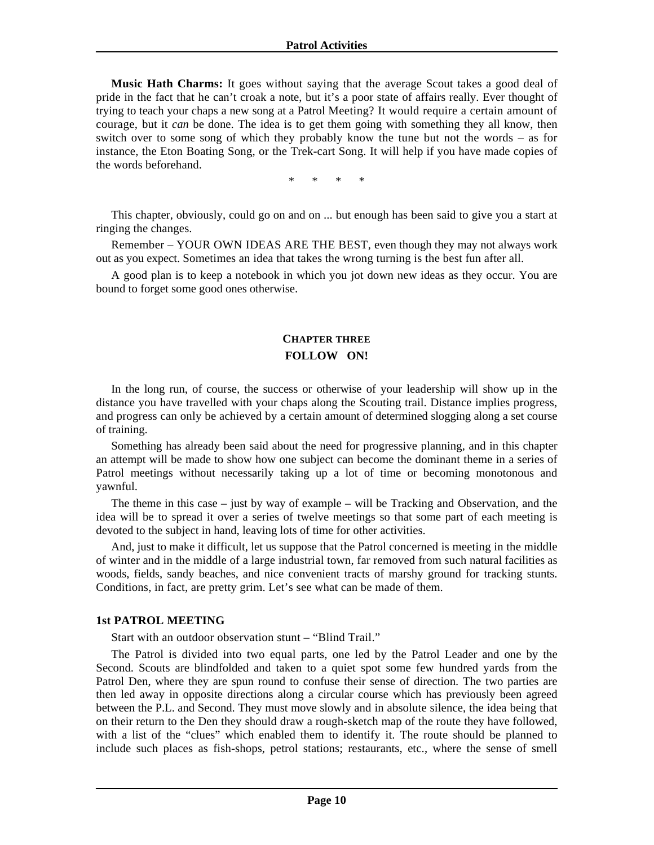#### **Patrol Activities**

<span id="page-9-0"></span>**Music Hath Charms:** It goes without saying that the average Scout takes a good deal of pride in the fact that he can't croak a note, but it's a poor state of affairs really. Ever thought of trying to teach your chaps a new song at a Patrol Meeting? It would require a certain amount of courage, but it *can* be done. The idea is to get them going with something they all know, then switch over to some song of which they probably know the tune but not the words – as for instance, the Eton Boating Song, or the Trek-cart Song. It will help if you have made copies of the words beforehand.

\* \* \* \*

This chapter, obviously, could go on and on ... but enough has been said to give you a start at ringing the changes.

Remember – YOUR OWN IDEAS ARE THE BEST, even though they may not always work out as you expect. Sometimes an idea that takes the wrong turning is the best fun after all.

A good plan is to keep a notebook in which you jot down new ideas as they occur. You are bound to forget some good ones otherwise.

#### **CHAPTER THREE FOLLOW ON!**

In the long run, of course, the success or otherwise of your leadership will show up in the distance you have travelled with your chaps along the Scouting trail. Distance implies progress, and progress can only be achieved by a certain amount of determined slogging along a set course of training.

Something has already been said about the need for progressive planning, and in this chapter an attempt will be made to show how one subject can become the dominant theme in a series of Patrol meetings without necessarily taking up a lot of time or becoming monotonous and yawnful.

The theme in this case – just by way of example – will be Tracking and Observation, and the idea will be to spread it over a series of twelve meetings so that some part of each meeting is devoted to the subject in hand, leaving lots of time for other activities.

And, just to make it difficult, let us suppose that the Patrol concerned is meeting in the middle of winter and in the middle of a large industrial town, far removed from such natural facilities as woods, fields, sandy beaches, and nice convenient tracts of marshy ground for tracking stunts. Conditions, in fact, are pretty grim. Let's see what can be made of them.

#### **1st PATROL MEETING**

Start with an outdoor observation stunt – "Blind Trail."

The Patrol is divided into two equal parts, one led by the Patrol Leader and one by the Second. Scouts are blindfolded and taken to a quiet spot some few hundred yards from the Patrol Den, where they are spun round to confuse their sense of direction. The two parties are then led away in opposite directions along a circular course which has previously been agreed between the P.L. and Second. They must move slowly and in absolute silence, the idea being that on their return to the Den they should draw a rough-sketch map of the route they have followed, with a list of the "clues" which enabled them to identify it. The route should be planned to include such places as fish-shops, petrol stations; restaurants, etc., where the sense of smell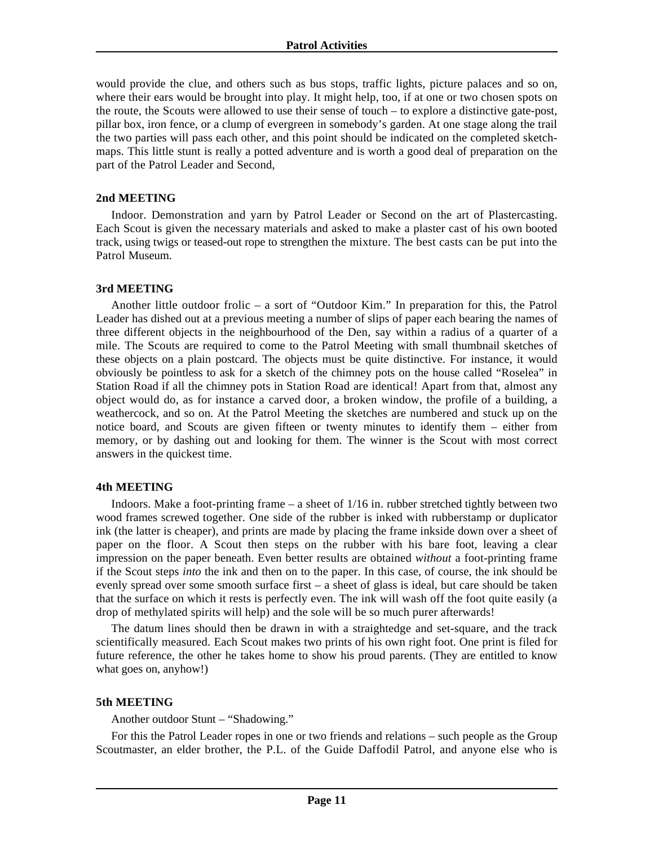would provide the clue, and others such as bus stops, traffic lights, picture palaces and so on, where their ears would be brought into play. It might help, too, if at one or two chosen spots on the route, the Scouts were allowed to use their sense of touch – to explore a distinctive gate-post, pillar box, iron fence, or a clump of evergreen in somebody's garden. At one stage along the trail the two parties will pass each other, and this point should be indicated on the completed sketchmaps. This little stunt is really a potted adventure and is worth a good deal of preparation on the part of the Patrol Leader and Second,

#### **2nd MEETING**

Indoor. Demonstration and yarn by Patrol Leader or Second on the art of Plastercasting. Each Scout is given the necessary materials and asked to make a plaster cast of his own booted track, using twigs or teased-out rope to strengthen the mixture. The best casts can be put into the Patrol Museum.

#### **3rd MEETING**

Another little outdoor frolic – a sort of "Outdoor Kim." In preparation for this, the Patrol Leader has dished out at a previous meeting a number of slips of paper each bearing the names of three different objects in the neighbourhood of the Den, say within a radius of a quarter of a mile. The Scouts are required to come to the Patrol Meeting with small thumbnail sketches of these objects on a plain postcard. The objects must be quite distinctive. For instance, it would obviously be pointless to ask for a sketch of the chimney pots on the house called "Roselea" in Station Road if all the chimney pots in Station Road are identical! Apart from that, almost any object would do, as for instance a carved door, a broken window, the profile of a building, a weathercock, and so on. At the Patrol Meeting the sketches are numbered and stuck up on the notice board, and Scouts are given fifteen or twenty minutes to identify them – either from memory, or by dashing out and looking for them. The winner is the Scout with most correct answers in the quickest time.

## **4th MEETING**

Indoors. Make a foot-printing frame – a sheet of 1/16 in. rubber stretched tightly between two wood frames screwed together. One side of the rubber is inked with rubberstamp or duplicator ink (the latter is cheaper), and prints are made by placing the frame inkside down over a sheet of paper on the floor. A Scout then steps on the rubber with his bare foot, leaving a clear impression on the paper beneath. Even better results are obtained *without* a foot-printing frame if the Scout steps *into* the ink and then on to the paper. In this case, of course, the ink should be evenly spread over some smooth surface first – a sheet of glass is ideal, but care should be taken that the surface on which it rests is perfectly even. The ink will wash off the foot quite easily (a drop of methylated spirits will help) and the sole will be so much purer afterwards!

The datum lines should then be drawn in with a straightedge and set-square, and the track scientifically measured. Each Scout makes two prints of his own right foot. One print is filed for future reference, the other he takes home to show his proud parents. (They are entitled to know what goes on, anyhow!)

## **5th MEETING**

Another outdoor Stunt – "Shadowing."

For this the Patrol Leader ropes in one or two friends and relations – such people as the Group Scoutmaster, an elder brother, the P.L. of the Guide Daffodil Patrol, and anyone else who is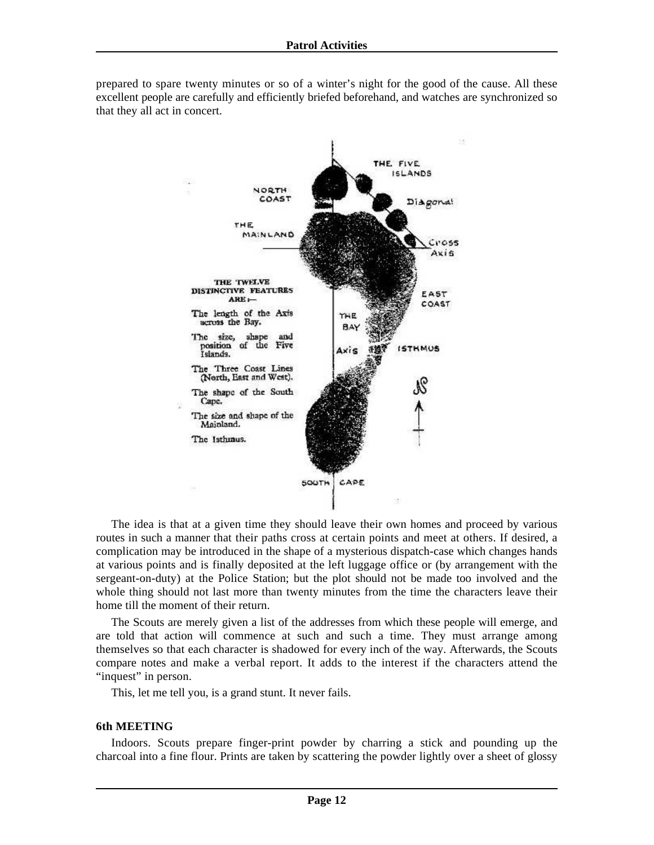

prepared to spare twenty minutes or so of a winter's night for the good of the cause. All these excellent people are carefully and efficiently briefed beforehand, and watches are synchronized so that they all act in concert.

The idea is that at a given time they should leave their own homes and proceed by various routes in such a manner that their paths cross at certain points and meet at others. If desired, a complication may be introduced in the shape of a mysterious dispatch-case which changes hands at various points and is finally deposited at the left luggage office or (by arrangement with the sergeant-on-duty) at the Police Station; but the plot should not be made too involved and the whole thing should not last more than twenty minutes from the time the characters leave their home till the moment of their return.

The Scouts are merely given a list of the addresses from which these people will emerge, and are told that action will commence at such and such a time. They must arrange among themselves so that each character is shadowed for every inch of the way. Afterwards, the Scouts compare notes and make a verbal report. It adds to the interest if the characters attend the "inquest" in person.

This, let me tell you, is a grand stunt. It never fails.

#### **6th MEETING**

Indoors. Scouts prepare finger-print powder by charring a stick and pounding up the charcoal into a fine flour. Prints are taken by scattering the powder lightly over a sheet of glossy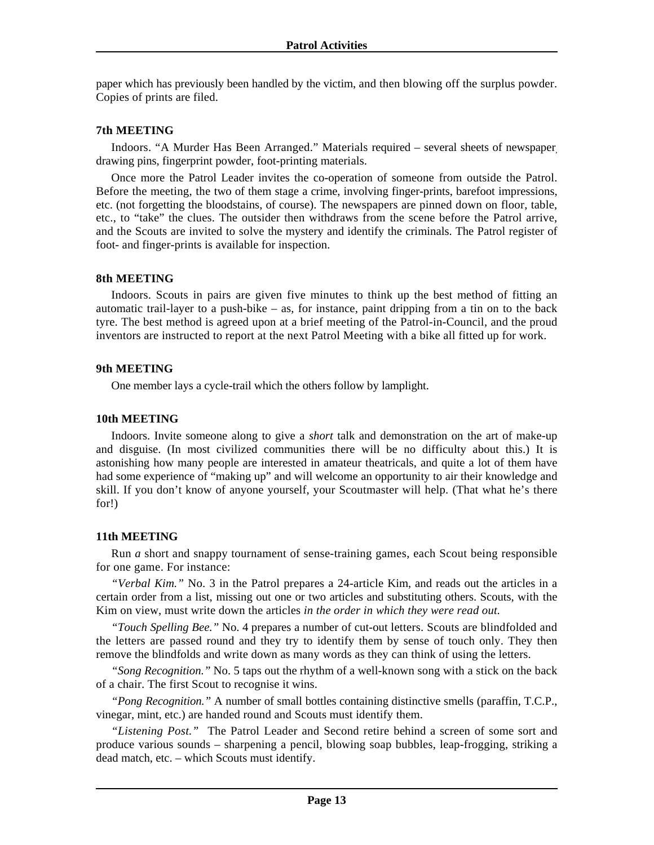paper which has previously been handled by the victim, and then blowing off the surplus powder. Copies of prints are filed.

#### **7th MEETING**

Indoors. "A Murder Has Been Arranged." Materials required – several sheets of newspaper, drawing pins, fingerprint powder, foot-printing materials.

Once more the Patrol Leader invites the co-operation of someone from outside the Patrol. Before the meeting, the two of them stage a crime, involving finger-prints, barefoot impressions, etc. (not forgetting the bloodstains, of course). The newspapers are pinned down on floor, table, etc., to "take" the clues. The outsider then withdraws from the scene before the Patrol arrive, and the Scouts are invited to solve the mystery and identify the criminals. The Patrol register of foot- and finger-prints is available for inspection.

#### **8th MEETING**

Indoors. Scouts in pairs are given five minutes to think up the best method of fitting an automatic trail-layer to a push-bike – as, for instance, paint dripping from a tin on to the back tyre. The best method is agreed upon at a brief meeting of the Patrol-in-Council, and the proud inventors are instructed to report at the next Patrol Meeting with a bike all fitted up for work.

#### **9th MEETING**

One member lays a cycle-trail which the others follow by lamplight.

## **10th MEETING**

Indoors. Invite someone along to give a *short* talk and demonstration on the art of make-up and disguise. (In most civilized communities there will be no difficulty about this.) It is astonishing how many people are interested in amateur theatricals, and quite a lot of them have had some experience of "making up" and will welcome an opportunity to air their knowledge and skill. If you don't know of anyone yourself, your Scoutmaster will help. (That what he's there for!)

## **11th MEETING**

Run *a* short and snappy tournament of sense-training games, each Scout being responsible for one game. For instance:

*"Verbal Kim."* No. 3 in the Patrol prepares a 24-article Kim, and reads out the articles in a certain order from a list, missing out one or two articles and substituting others. Scouts, with the Kim on view, must write down the articles *in the order in which they were read out.*

*"Touch Spelling Bee."* No. 4 prepares a number of cut-out letters. Scouts are blindfolded and the letters are passed round and they try to identify them by sense of touch only. They then remove the blindfolds and write down as many words as they can think of using the letters.

*"Song Recognition."* No. 5 taps out the rhythm of a well-known song with a stick on the back of a chair. The first Scout to recognise it wins.

*"Pong Recognition."* A number of small bottles containing distinctive smells (paraffin, T.C.P., vinegar, mint, etc.) are handed round and Scouts must identify them.

*"Listening Post."* The Patrol Leader and Second retire behind a screen of some sort and produce various sounds – sharpening a pencil, blowing soap bubbles, leap-frogging, striking a dead match, etc. – which Scouts must identify.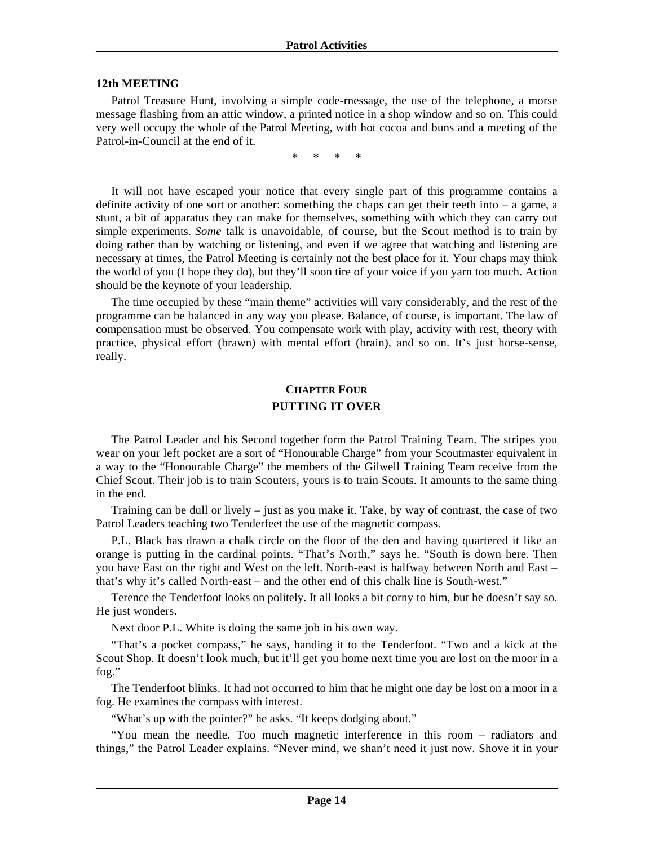#### <span id="page-13-0"></span>**12th MEETING**

Patrol Treasure Hunt, involving a simple code-rnessage, the use of the telephone, a morse message flashing from an attic window, a printed notice in a shop window and so on. This could very well occupy the whole of the Patrol Meeting, with hot cocoa and buns and a meeting of the Patrol-in-Council at the end of it.

\* \* \* \*

It will not have escaped your notice that every single part of this programme contains a definite activity of one sort or another: something the chaps can get their teeth into  $-$  a game, a stunt, a bit of apparatus they can make for themselves, something with which they can carry out simple experiments. *Some* talk is unavoidable, of course, but the Scout method is to train by doing rather than by watching or listening, and even if we agree that watching and listening are necessary at times, the Patrol Meeting is certainly not the best place for it. Your chaps may think the world of you (I hope they do), but they'll soon tire of your voice if you yarn too much. Action should be the keynote of your leadership.

The time occupied by these "main theme" activities will vary considerably, and the rest of the programme can be balanced in any way you please. Balance, of course, is important. The law of compensation must be observed. You compensate work with play, activity with rest, theory with practice, physical effort (brawn) with mental effort (brain), and so on. It's just horse-sense, really.

# **CHAPTER FOUR PUTTING IT OVER**

The Patrol Leader and his Second together form the Patrol Training Team. The stripes you wear on your left pocket are a sort of "Honourable Charge" from your Scoutmaster equivalent in a way to the "Honourable Charge" the members of the Gilwell Training Team receive from the Chief Scout. Their job is to train Scouters, yours is to train Scouts. It amounts to the same thing in the end.

Training can be dull or lively – just as you make it. Take, by way of contrast, the case of two Patrol Leaders teaching two Tenderfeet the use of the magnetic compass.

P.L. Black has drawn a chalk circle on the floor of the den and having quartered it like an orange is putting in the cardinal points. "That's North," says he. "South is down here. Then you have East on the right and West on the left. North-east is halfway between North and East – that's why it's called North-east – and the other end of this chalk line is South-west."

Terence the Tenderfoot looks on politely. It all looks a bit corny to him, but he doesn't say so. He just wonders.

Next door P.L. White is doing the same job in his own way.

"That's a pocket compass," he says, handing it to the Tenderfoot. "Two and a kick at the Scout Shop. It doesn't look much, but it'll get you home next time you are lost on the moor in a fog."

The Tenderfoot blinks. It had not occurred to him that he might one day be lost on a moor in a fog. He examines the compass with interest.

"What's up with the pointer?" he asks. "It keeps dodging about."

"You mean the needle. Too much magnetic interference in this room – radiators and things," the Patrol Leader explains. "Never mind, we shan't need it just now. Shove it in your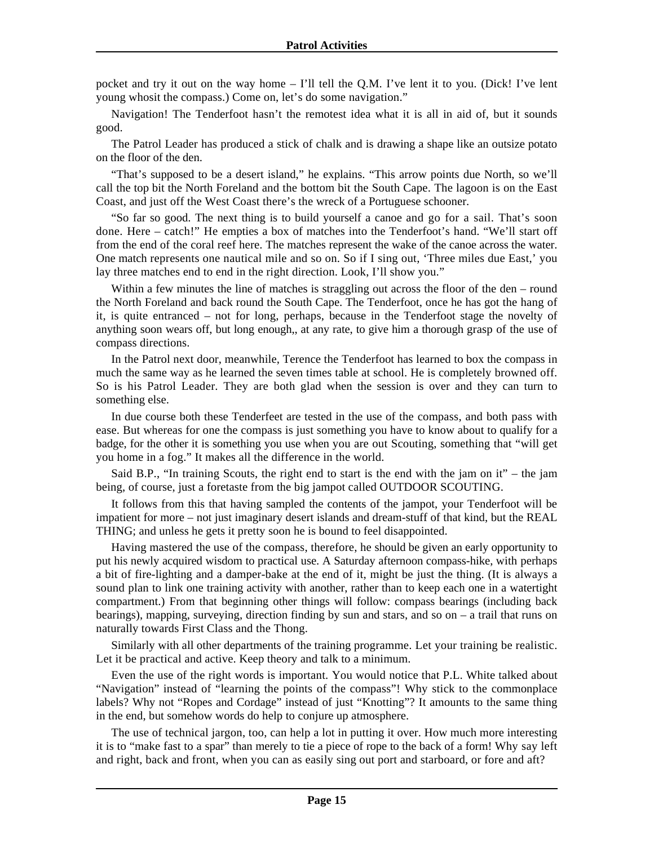pocket and try it out on the way home – I'll tell the Q.M. I've lent it to you. (Dick! I've lent young whosit the compass.) Come on, let's do some navigation."

Navigation! The Tenderfoot hasn't the remotest idea what it is all in aid of, but it sounds good.

The Patrol Leader has produced a stick of chalk and is drawing a shape like an outsize potato on the floor of the den.

"That's supposed to be a desert island," he explains. "This arrow points due North, so we'll call the top bit the North Foreland and the bottom bit the South Cape. The lagoon is on the East Coast, and just off the West Coast there's the wreck of a Portuguese schooner.

"So far so good. The next thing is to build yourself a canoe and go for a sail. That's soon done. Here – catch!" He empties a box of matches into the Tenderfoot's hand. "We'll start off from the end of the coral reef here. The matches represent the wake of the canoe across the water. One match represents one nautical mile and so on. So if I sing out, 'Three miles due East,' you lay three matches end to end in the right direction. Look, I'll show you."

Within a few minutes the line of matches is straggling out across the floor of the den – round the North Foreland and back round the South Cape. The Tenderfoot, once he has got the hang of it, is quite entranced – not for long, perhaps, because in the Tenderfoot stage the novelty of anything soon wears off, but long enough,, at any rate, to give him a thorough grasp of the use of compass directions.

In the Patrol next door, meanwhile, Terence the Tenderfoot has learned to box the compass in much the same way as he learned the seven times table at school. He is completely browned off. So is his Patrol Leader. They are both glad when the session is over and they can turn to something else.

In due course both these Tenderfeet are tested in the use of the compass, and both pass with ease. But whereas for one the compass is just something you have to know about to qualify for a badge, for the other it is something you use when you are out Scouting, something that "will get you home in a fog." It makes all the difference in the world.

Said B.P., "In training Scouts, the right end to start is the end with the jam on it" – the jam being, of course, just a foretaste from the big jampot called OUTDOOR SCOUTING.

It follows from this that having sampled the contents of the jampot, your Tenderfoot will be impatient for more – not just imaginary desert islands and dream-stuff of that kind, but the REAL THING; and unless he gets it pretty soon he is bound to feel disappointed.

Having mastered the use of the compass, therefore, he should be given an early opportunity to put his newly acquired wisdom to practical use. A Saturday afternoon compass-hike, with perhaps a bit of fire-lighting and a damper-bake at the end of it, might be just the thing. (It is always a sound plan to link one training activity with another, rather than to keep each one in a watertight compartment.) From that beginning other things will follow: compass bearings (including back bearings), mapping, surveying, direction finding by sun and stars, and so on – a trail that runs on naturally towards First Class and the Thong.

Similarly with all other departments of the training programme. Let your training be realistic. Let it be practical and active. Keep theory and talk to a minimum.

Even the use of the right words is important. You would notice that P.L. White talked about "Navigation" instead of "learning the points of the compass"! Why stick to the commonplace labels? Why not "Ropes and Cordage" instead of just "Knotting"? It amounts to the same thing in the end, but somehow words do help to conjure up atmosphere.

The use of technical jargon, too, can help a lot in putting it over. How much more interesting it is to "make fast to a spar" than merely to tie a piece of rope to the back of a form! Why say left and right, back and front, when you can as easily sing out port and starboard, or fore and aft?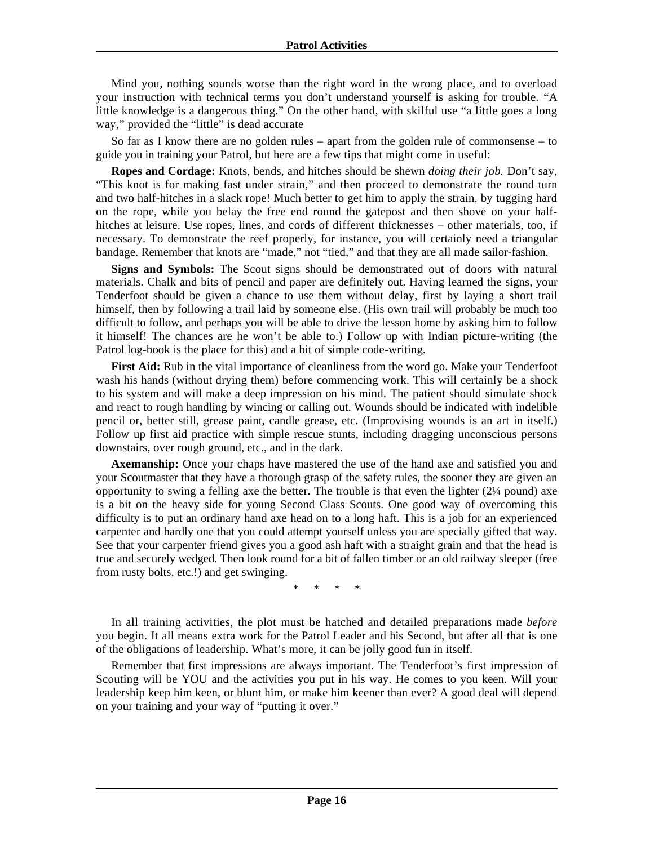Mind you, nothing sounds worse than the right word in the wrong place, and to overload your instruction with technical terms you don't understand yourself is asking for trouble. "A little knowledge is a dangerous thing." On the other hand, with skilful use "a little goes a long way," provided the "little" is dead accurate

So far as I know there are no golden rules – apart from the golden rule of commonsense – to guide you in training your Patrol, but here are a few tips that might come in useful:

**Ropes and Cordage:** Knots, bends, and hitches should be shewn *doing their job.* Don't say, "This knot is for making fast under strain," and then proceed to demonstrate the round turn and two half-hitches in a slack rope! Much better to get him to apply the strain, by tugging hard on the rope, while you belay the free end round the gatepost and then shove on your halfhitches at leisure. Use ropes, lines, and cords of different thicknesses – other materials, too, if necessary. To demonstrate the reef properly, for instance, you will certainly need a triangular bandage. Remember that knots are "made," not "tied," and that they are all made sailor-fashion.

**Signs and Symbols:** The Scout signs should be demonstrated out of doors with natural materials. Chalk and bits of pencil and paper are definitely out. Having learned the signs, your Tenderfoot should be given a chance to use them without delay, first by laying a short trail himself, then by following a trail laid by someone else. (His own trail will probably be much too difficult to follow, and perhaps you will be able to drive the lesson home by asking him to follow it himself! The chances are he won't be able to.) Follow up with Indian picture-writing (the Patrol log-book is the place for this) and a bit of simple code-writing.

**First Aid:** Rub in the vital importance of cleanliness from the word go. Make your Tenderfoot wash his hands (without drying them) before commencing work. This will certainly be a shock to his system and will make a deep impression on his mind. The patient should simulate shock and react to rough handling by wincing or calling out. Wounds should be indicated with indelible pencil or, better still, grease paint, candle grease, etc. (Improvising wounds is an art in itself.) Follow up first aid practice with simple rescue stunts, including dragging unconscious persons downstairs, over rough ground, etc., and in the dark.

**Axemanship:** Once your chaps have mastered the use of the hand axe and satisfied you and your Scoutmaster that they have a thorough grasp of the safety rules, the sooner they are given an opportunity to swing a felling axe the better. The trouble is that even the lighter (2¼ pound) axe is a bit on the heavy side for young Second Class Scouts. One good way of overcoming this difficulty is to put an ordinary hand axe head on to a long haft. This is a job for an experienced carpenter and hardly one that you could attempt yourself unless you are specially gifted that way. See that your carpenter friend gives you a good ash haft with a straight grain and that the head is true and securely wedged. Then look round for a bit of fallen timber or an old railway sleeper (free from rusty bolts, etc.!) and get swinging.

\* \* \* \*

In all training activities, the plot must be hatched and detailed preparations made *before*  you begin. It all means extra work for the Patrol Leader and his Second, but after all that is one of the obligations of leadership. What's more, it can be jolly good fun in itself.

Remember that first impressions are always important. The Tenderfoot's first impression of Scouting will be YOU and the activities you put in his way. He comes to you keen. Will your leadership keep him keen, or blunt him, or make him keener than ever? A good deal will depend on your training and your way of "putting it over."